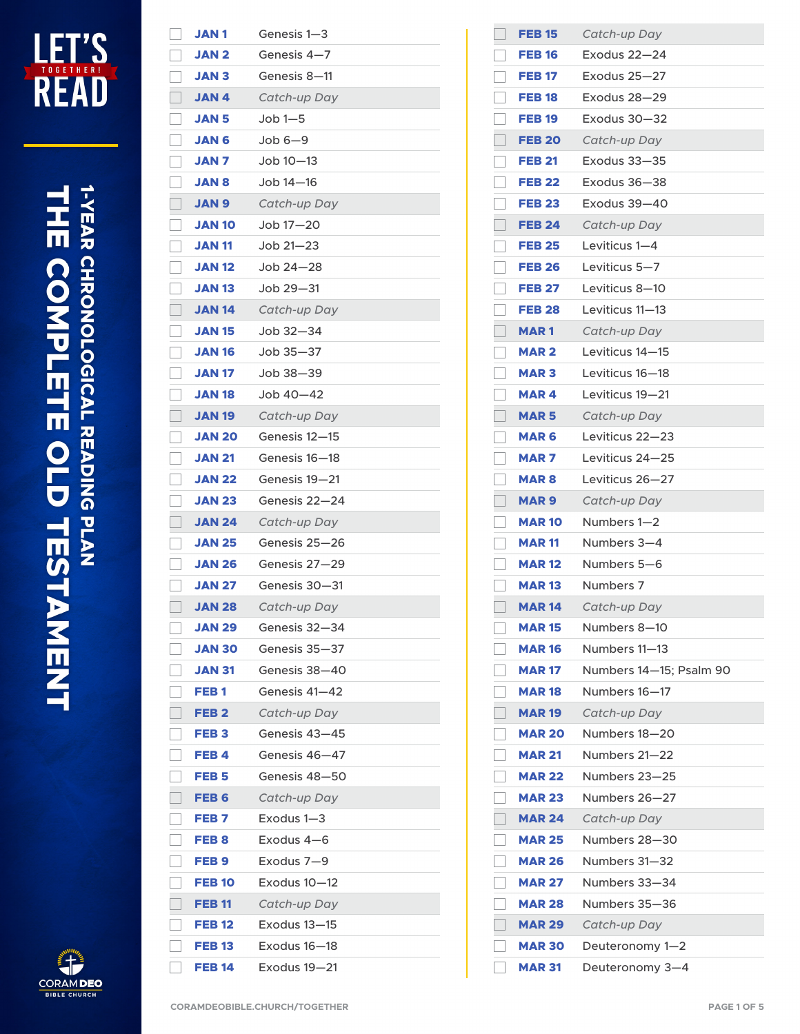

## **THE COMPLETE OLD TESTAMENT**<br>THE COMPLETE OLD TESTAMENT



| <b>JAN1</b>      | Genesis 1-3   |
|------------------|---------------|
| <b>JAN 2</b>     | Genesis 4-7   |
| <b>JAN 3</b>     | Genesis 8-11  |
| <b>JAN4</b>      | Catch-up Day  |
| <b>JAN 5</b>     | $Job 1 - 5$   |
| <b>JAN 6</b>     | $Job 6-9$     |
| <b>JAN7</b>      | Job 10–13     |
| <b>JAN 8</b>     | Job 14-16     |
| <b>JAN 9</b>     | Catch-up Day  |
| <b>JAN 10</b>    | Job 17-20     |
| <b>JAN 11</b>    | Job 21-23     |
| <b>JAN 12</b>    | Job $24 - 28$ |
| <b>JAN 13</b>    | Job 29-31     |
| <b>JAN 14</b>    | Catch-up Day  |
| <b>JAN 15</b>    | Job 32–34     |
| <b>JAN 16</b>    | Job $35 - 37$ |
| <b>JAN 17</b>    | Job 38—39     |
| <b>JAN 18</b>    | Job 40–42     |
| <b>JAN 19</b>    | Catch-up Day  |
| <b>JAN 20</b>    | Genesis 12—15 |
| <b>JAN 21</b>    | Genesis 16–18 |
| <b>JAN 22</b>    | Genesis 19—21 |
| <b>JAN 23</b>    | Genesis 22—24 |
| <b>JAN 24</b>    | Catch-up Day  |
| <b>JAN 25</b>    | Genesis 25–26 |
| <b>JAN 26</b>    | Genesis 27-29 |
| <b>JAN 27</b>    | Genesis 30—31 |
| <b>JAN 28</b>    | Catch-up Day  |
| <b>JAN 29</b>    | Genesis 32-34 |
| <b>JAN 30</b>    | Genesis 35-37 |
| <b>JAN 31</b>    | Genesis 38-40 |
| FEB <sub>1</sub> | Genesis 41–42 |
| FEB <sub>2</sub> | Catch-up Day  |
| FEB <sub>3</sub> | Genesis 43–45 |
| FEB4             | Genesis 46-47 |
| FEB <sub>5</sub> | Genesis 48—50 |
| FEB <sub>6</sub> | Catch-up Day  |
| FEB <sub>7</sub> | Exodus 1-3    |
| FEB <sub>8</sub> | Exodus 4–6    |
| FEB <sub>9</sub> | Exodus 7-9    |
| <b>FEB 10</b>    | Exodus 10-12  |
| <b>FEB 11</b>    | Catch-up Day  |
| <b>FEB 12</b>    | Exodus 13-15  |
| <b>FEB 13</b>    | Exodus 16-18  |
| <b>FEB 14</b>    | Exodus 19-21  |

| <b>FEB 15</b> | Catch-up Day            |
|---------------|-------------------------|
| <b>FEB 16</b> | $Exodus 22-24$          |
| <b>FEB 17</b> | Exodus 25-27            |
| <b>FEB 18</b> | Exodus 28-29            |
| <b>FEB 19</b> | Exodus $30 - 32$        |
| <b>FEB 20</b> | Catch-up Day            |
| <b>FEB 21</b> | Exodus 33-35            |
| <b>FEB 22</b> | Exodus 36-38            |
| <b>FEB 23</b> | Exodus 39-40            |
| <b>FEB 24</b> | Catch-up Day            |
| <b>FEB 25</b> | Leviticus 1-4           |
| <b>FEB 26</b> | Leviticus 5-7           |
| <b>FEB 27</b> | Leviticus 8-10          |
| <b>FEB 28</b> | Leviticus 11-13         |
| <b>MAR1</b>   | Catch-up Day            |
| <b>MAR 2</b>  | Leviticus 14-15         |
| <b>MAR3</b>   | Leviticus 16–18         |
| <b>MAR4</b>   | Leviticus 19-21         |
| <b>MAR 5</b>  | Catch-up Day            |
| <b>MAR 6</b>  | Leviticus 22-23         |
| MAR 7         | Leviticus 24–25         |
| <b>MAR8</b>   | Leviticus 26-27         |
| MAR 9         | Catch-up Day            |
| <b>MAR 10</b> | Numbers 1—2             |
| <b>MAR 11</b> | Numbers 3-4             |
| <b>MAR 12</b> | Numbers 5-6             |
| <b>MAR 13</b> | Numbers 7               |
| <b>MAR 14</b> | Catch-up Day            |
| <b>MAR 15</b> | Numbers 8-10            |
| <b>MAR 16</b> | Numbers 11-13           |
| <b>MAR 17</b> | Numbers 14-15; Psalm 90 |
| <b>MAR 18</b> | Numbers 16-17           |
| <b>MAR 19</b> | Catch-up Day            |
| <b>MAR 20</b> | Numbers 18-20           |
| <b>MAR 21</b> | Numbers 21-22           |
| <b>MAR 22</b> | Numbers 23-25           |
| <b>MAR 23</b> | Numbers 26-27           |
| <b>MAR 24</b> | Catch-up Day            |
| <b>MAR 25</b> | Numbers 28—30           |
| <b>MAR 26</b> | Numbers 31-32           |
| <b>MAR 27</b> | Numbers 33-34           |
| <b>MAR 28</b> | Numbers 35—36           |
| <b>MAR 29</b> | Catch-up Day            |
| <b>MAR 30</b> | Deuteronomy 1-2         |
| <b>MAR 31</b> | Deuteronomy 3-4         |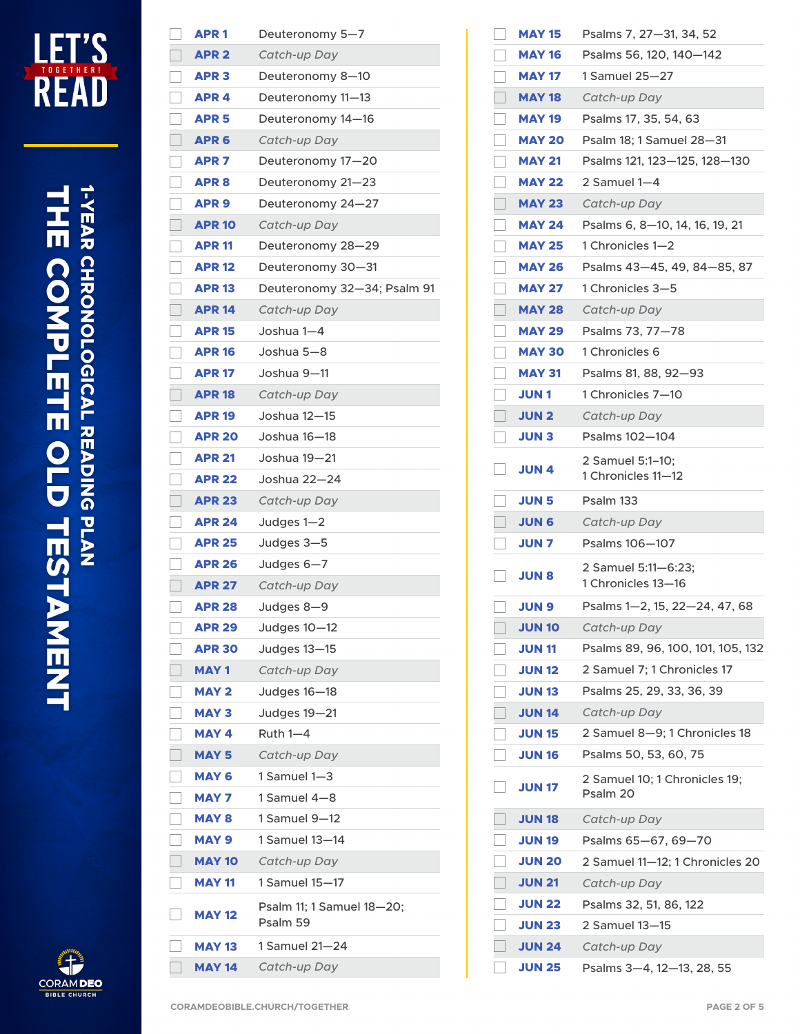

## **THE COMPLETE OLD TESTAMENT**<br>THE COMPLETE OLD TESTAMENT



| <b>APR1</b>      | Deuteronomy 5-7                       |
|------------------|---------------------------------------|
| <b>APR 2</b>     | Catch-up Day                          |
| <b>APR 3</b>     | Deuteronomy 8-10                      |
| APR <sub>4</sub> | Deuteronomy 11-13                     |
| APR <sub>5</sub> | Deuteronomy 14–16                     |
| APR <sub>6</sub> | Catch-up Day                          |
| APR <sub>7</sub> | Deuteronomy 17-20                     |
| APR <sub>8</sub> | Deuteronomy 21-23                     |
| APR <sub>9</sub> | Deuteronomy 24–27                     |
| <b>APR 10</b>    | Catch-up Day                          |
| <b>APR 11</b>    | Deuteronomy 28-29                     |
| <b>APR 12</b>    | Deuteronomy 30-31                     |
| <b>APR 13</b>    | Deuteronomy 32-34; Psalm 91           |
| <b>APR 14</b>    | Catch-up Day                          |
| <b>APR 15</b>    | Joshua 1–4                            |
| <b>APR 16</b>    | Joshua 5-8                            |
| <b>APR 17</b>    | Joshua 9—11                           |
| <b>APR 18</b>    | Catch-up Day                          |
| <b>APR 19</b>    | Joshua 12-15                          |
| <b>APR 20</b>    | Joshua 16—18                          |
| <b>APR 21</b>    | Joshua 19-21                          |
| <b>APR 22</b>    | Joshua 22–24                          |
| <b>APR 23</b>    | Catch-up Day                          |
| <b>APR 24</b>    | Judges 1-2                            |
| <b>APR 25</b>    | Judges 3-5                            |
| <b>APR 26</b>    | Judges 6-7                            |
| <b>APR 27</b>    | Catch-up Day                          |
| <b>APR 28</b>    | Judges 8-9                            |
| <b>APR 29</b>    | Judges 10-12                          |
| <b>APR 30</b>    | Judges 13-15                          |
| <b>MAY1</b>      | Catch-up Day                          |
| <b>MAY 2</b>     | Judges 16-18                          |
| <b>MAY 3</b>     | Judges 19-21                          |
| <b>MAY 4</b>     | Ruth $1-4$                            |
| <b>MAY 5</b>     | Catch-up Day                          |
| <b>MAY 6</b>     | 1 Samuel 1–3                          |
| <b>MAY 7</b>     | 1 Samuel 4-8                          |
| <b>MAY 8</b>     | 1 Samuel 9-12                         |
| <b>MAY 9</b>     | 1 Samuel 13—14                        |
| <b>MAY 10</b>    | Catch-up Day                          |
| <b>MAY 11</b>    | 1 Samuel 15–17                        |
| <b>MAY 12</b>    | Psalm 11; 1 Samuel 18-20;<br>Psalm 59 |
| <b>MAY 13</b>    | 1 Samuel 21—24                        |
| <b>MAY 14</b>    | Catch-up Day                          |

| <b>MAY 15</b> | Psalms 7, 27-31, 34, 52                   |
|---------------|-------------------------------------------|
| <b>MAY 16</b> | Psalms 56, 120, 140-142                   |
| <b>MAY 17</b> | 1 Samuel 25—27                            |
| <b>MAY 18</b> | Catch-up Day                              |
| <b>MAY 19</b> | Psalms 17, 35, 54, 63                     |
| <b>MAY 20</b> | Psalm 18; 1 Samuel 28-31                  |
| <b>MAY 21</b> | Psalms 121, 123-125, 128-130              |
| <b>MAY 22</b> | 2 Samuel 1-4                              |
| <b>MAY 23</b> | Catch-up Day                              |
| <b>MAY 24</b> | Psalms 6, 8-10, 14, 16, 19, 21            |
| <b>MAY 25</b> | 1 Chronicles 1—2                          |
| <b>MAY 26</b> | Psalms 43-45, 49, 84-85, 87               |
| <b>MAY 27</b> | 1 Chronicles 3—5                          |
| <b>MAY 28</b> | Catch-up Day                              |
| <b>MAY 29</b> | Psalms 73, 77-78                          |
| <b>MAY 30</b> | 1 Chronicles 6                            |
| <b>MAY 31</b> | Psalms 81, 88, 92-93                      |
| <b>JUN 1</b>  | 1 Chronicles 7—10                         |
| <b>JUN 2</b>  | Catch-up Day                              |
| <b>JUN 3</b>  | Psalms 102-104                            |
| JUN 4         | 2 Samuel 5:1-10;<br>1 Chronicles 11—12    |
| <b>JUN 5</b>  | Psalm 133                                 |
| <b>JUN 6</b>  | Catch-up Day                              |
| <b>JUN 7</b>  | Psalms 106-107                            |
| <b>S NUL</b>  | 2 Samuel 5:11-6:23;<br>1 Chronicles 13—16 |
| <b>JUN 9</b>  | Psalms 1-2, 15, 22-24, 47, 68             |
| <b>JUN 10</b> | Catch-up Day                              |
| <b>JUN 11</b> | Psalms 89, 96, 100, 101, 105, 132         |
| <b>JUN 12</b> | 2 Samuel 7; 1 Chronicles 17               |
| <b>JUN 13</b> | Psalms 25, 29, 33, 36, 39                 |
| <b>JUN 14</b> | Catch-up Day                              |
| <b>JUN 15</b> | 2 Samuel 8-9; 1 Chronicles 18             |
| <b>JUN 16</b> | Psalms 50, 53, 60, 75                     |
| <b>JUN 17</b> | 2 Samuel 10; 1 Chronicles 19;<br>Psalm 20 |
| <b>JUN 18</b> | Catch-up Day                              |
| <b>JUN 19</b> | Psalms 65-67, 69-70                       |
| <b>JUN 20</b> | 2 Samuel 11-12; 1 Chronicles 20           |
| <b>JUN 21</b> | Catch-up Day                              |
| <b>JUN 22</b> | Psalms 32, 51, 86, 122                    |
| <b>JUN 23</b> | 2 Samuel 13—15                            |
| <b>JUN 24</b> | Catch-up Day                              |
| <b>JUN 25</b> | Psalms 3-4, 12-13, 28, 55                 |

l

 $\sqrt{2}$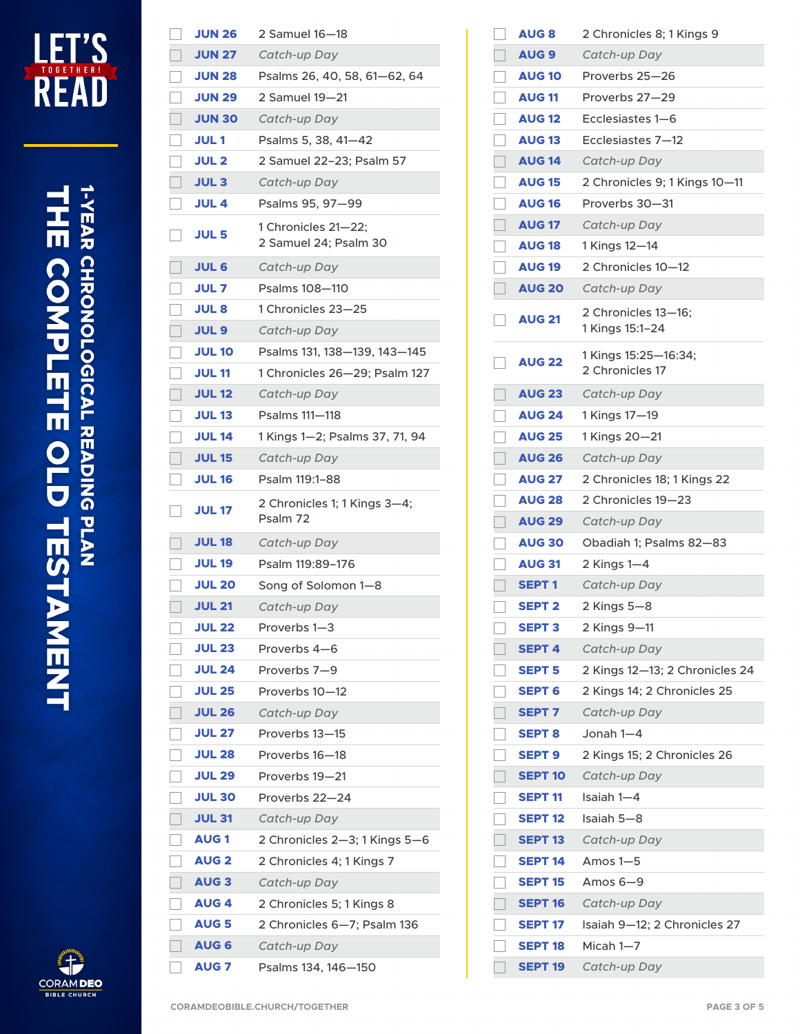

## **THE COMPLETE OLD TESTAMENT**<br>THE COMPLETE OLD TESTAMENT



| <b>JUN 26</b> | 2 Samuel 16—18                               |
|---------------|----------------------------------------------|
| <b>JUN 27</b> | Catch-up Day                                 |
| <b>JUN 28</b> | Psalms 26, 40, 58, 61-62, 64                 |
| <b>JUN 29</b> | 2 Samuel 19—21                               |
| <b>JUN 30</b> | Catch-up Day                                 |
| <b>JUL1</b>   | Psalms 5, 38, 41-42                          |
| <b>JUL 2</b>  | 2 Samuel 22-23; Psalm 57                     |
| <b>JUL3</b>   | Catch-up Day                                 |
| <b>JUL 4</b>  | Psalms 95, 97-99                             |
| <b>JUL 5</b>  | 1 Chronicles 21-22;<br>2 Samuel 24; Psalm 30 |
| <b>JUL 6</b>  | Catch-up Day                                 |
| <b>JUL 7</b>  | Psalms 108-110                               |
| <b>JUL 8</b>  | 1 Chronicles 23-25                           |
| <b>JUL 9</b>  | Catch-up Day                                 |
| <b>JUL 10</b> | Psalms 131, 138-139, 143-145                 |
| <b>JUL 11</b> | 1 Chronicles 26-29; Psalm 127                |
| <b>JUL 12</b> | Catch-up Day                                 |
| <b>JUL 13</b> | Psalms 111-118                               |
| <b>JUL 14</b> | 1 Kings 1—2; Psalms 37, 71, 94               |
| <b>JUL 15</b> | Catch-up Day                                 |
| <b>JUL 16</b> | Psalm 119:1-88                               |
|               |                                              |
| <b>JUL 17</b> | 2 Chronicles 1; 1 Kings 3-4;<br>Psalm 72     |
| <b>JUL 18</b> | Catch-up Day                                 |
| <b>JUL 19</b> | Psalm 119:89–176                             |
| <b>JUL 20</b> | Song of Solomon 1-8                          |
| <b>JUL 21</b> | Catch-up Day                                 |
| <b>JUL 22</b> | Proverbs 1–3                                 |
| <b>JUL 23</b> | Proverbs 4-6                                 |
| <b>JUL 24</b> | Proverbs 7-9                                 |
| <b>JUL 25</b> | Proverbs 10–12                               |
| <b>JUL 26</b> | Catch-up Day                                 |
| <b>JUL 27</b> | Proverbs 13-15                               |
| <b>JUL 28</b> | Proverbs 16-18                               |
| <b>JUL 29</b> | Proverbs 19–21                               |
| <b>JUL 30</b> | Proverbs 22–24                               |
| <b>JUL 31</b> | Catch-up Day                                 |
| <b>AUG1</b>   | 2 Chronicles 2-3; 1 Kings 5-6                |
| <b>AUG 2</b>  | 2 Chronicles 4; 1 Kings 7                    |
| <b>AUG3</b>   | Catch-up Day                                 |
| <b>AUG4</b>   | 2 Chronicles 5; 1 Kings 8                    |
| <b>AUG 5</b>  | 2 Chronicles 6-7; Psalm 136                  |
| <b>AUG 6</b>  | Catch-up Day                                 |

| <b>AUG 8</b>   | 2 Chronicles 8; 1 Kings 9               |
|----------------|-----------------------------------------|
| <b>AUG 9</b>   | Catch-up Day                            |
| <b>AUG 10</b>  | Proverbs 25–26                          |
| <b>AUG 11</b>  | Proverbs 27-29                          |
| <b>AUG 12</b>  | Ecclesiastes 1–6                        |
| <b>AUG 13</b>  | Ecclesiastes 7-12                       |
| <b>AUG 14</b>  | Catch-up Day                            |
| <b>AUG 15</b>  | 2 Chronicles 9; 1 Kings 10-11           |
| <b>AUG 16</b>  | Proverbs 30-31                          |
| <b>AUG 17</b>  | Catch-up Day                            |
| <b>AUG 18</b>  | 1 Kings 12-14                           |
| <b>AUG 19</b>  | 2 Chronicles 10—12                      |
| <b>AUG 20</b>  | Catch-up Day                            |
| <b>AUG 21</b>  | 2 Chronicles 13-16;<br>1 Kings 15:1-24  |
| <b>AUG 22</b>  | 1 Kings 15:25-16:34;<br>2 Chronicles 17 |
| <b>AUG 23</b>  | Catch-up Day                            |
| <b>AUG 24</b>  | 1 Kings 17-19                           |
| <b>AUG 25</b>  | 1 Kings 20-21                           |
| <b>AUG 26</b>  | Catch-up Day                            |
| <b>AUG 27</b>  | 2 Chronicles 18; 1 Kings 22             |
| <b>AUG 28</b>  | 2 Chronicles 19–23                      |
| <b>AUG 29</b>  | Catch-up Day                            |
| <b>AUG 30</b>  | Obadiah 1; Psalms 82-83                 |
| <b>AUG 31</b>  | 2 Kings 1-4                             |
| <b>SEPT1</b>   | Catch-up Day                            |
| <b>SEPT 2</b>  | 2 Kings 5–8                             |
| <b>SEPT 3</b>  | 2 Kings 9-11                            |
| <b>SEPT 4</b>  | Catch-up Day                            |
| <b>SEPT 5</b>  | 2 Kings 12-13; 2 Chronicles 24          |
| <b>SEPT 6</b>  | 2 Kings 14; 2 Chronicles 25             |
| <b>SEPT 7</b>  | Catch-up Day                            |
| <b>SEPT 8</b>  | Jonah 1—4                               |
| <b>SEPT 9</b>  | 2 Kings 15; 2 Chronicles 26             |
| <b>SEPT 10</b> | Catch-up Day                            |
| <b>SEPT 11</b> | Isaiah 1—4                              |
| <b>SEPT 12</b> | Isaiah 5-8                              |
| <b>SEPT 13</b> | Catch-up Day                            |
| <b>SEPT 14</b> | Amos 1–5                                |
| <b>SEPT 15</b> | Amos $6-9$                              |
| <b>SEPT 16</b> | Catch-up Day                            |
| <b>SEPT 17</b> | Isaiah 9-12; 2 Chronicles 27            |
| <b>SEPT 18</b> | Micah 1—7                               |
| <b>SEPT 19</b> | Catch-up Day                            |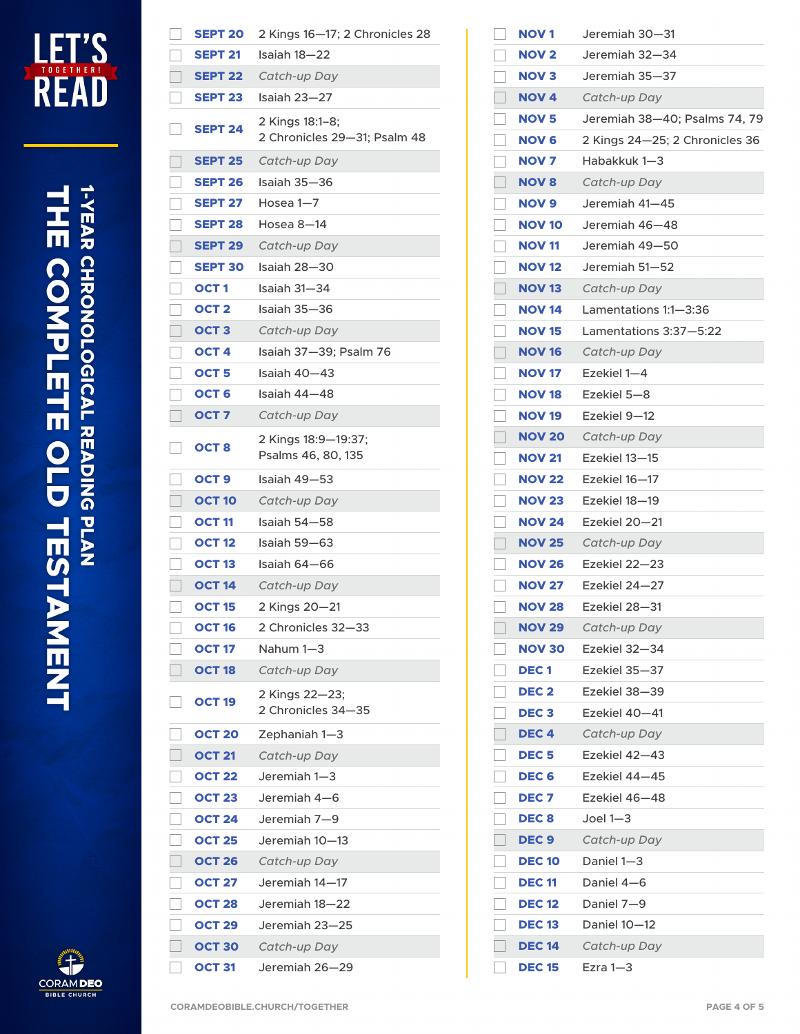

| CORAM <b>DEO</b>    |
|---------------------|
| <b>BIBLE CHURCH</b> |

|   | <b>SEPT 20</b>   | 2 Kings 16-17; 2 Chronicles 28                  |
|---|------------------|-------------------------------------------------|
|   | <b>SEPT 21</b>   | Isaiah 18—22                                    |
|   | <b>SEPT 22</b>   | Catch-up Day                                    |
|   | <b>SEPT 23</b>   | Isaiah 23—27                                    |
|   | <b>SEPT 24</b>   | 2 Kings 18:1-8;<br>2 Chronicles 29-31; Psalm 48 |
|   | <b>SEPT 25</b>   | Catch-up Day                                    |
|   | <b>SEPT 26</b>   | Isaiah 35—36                                    |
|   | <b>SEPT 27</b>   | Hosea $1 - 7$                                   |
|   | <b>SEPT 28</b>   | Hosea 8—14                                      |
|   | <b>SEPT 29</b>   | Catch-up Day                                    |
|   | <b>SEPT 30</b>   | Isaiah 28—30                                    |
| Ξ | OCT 1            | Isaiah 31-34                                    |
|   | OCT <sub>2</sub> | Isaiah 35-36                                    |
|   | OCT <sub>3</sub> | Catch-up Day                                    |
|   | OCT <sub>4</sub> | Isaiah 37-39; Psalm 76                          |
|   | OCT <sub>5</sub> | Isaiah 40-43                                    |
|   | OCT 6            | Isaiah 44—48                                    |
|   | OCT <sub>7</sub> | Catch-up Day                                    |
|   | OCT <sub>8</sub> | 2 Kings 18:9-19:37;<br>Psalms 46, 80, 135       |
|   | OCT <sub>9</sub> | Isaiah 49—53                                    |
|   | <b>OCT 10</b>    | Catch-up Day                                    |
|   | <b>OCT 11</b>    | Isaiah 54—58                                    |
|   | <b>OCT 12</b>    | Isaiah 59—63                                    |
|   | <b>OCT 13</b>    | Isaiah 64–66                                    |
|   | <b>OCT 14</b>    | Catch-up Day                                    |
|   | <b>OCT 15</b>    | 2 Kings 20-21                                   |
|   | <b>OCT 16</b>    | 2 Chronicles 32—33                              |
|   | <b>OCT 17</b>    | Nahum 1-3                                       |
|   | <b>OCT 18</b>    | Catch-up Day                                    |
|   | <b>OCT 19</b>    | 2 Kings 22-23;<br>2 Chronicles 34-35            |
|   | <b>OCT 20</b>    | Zephaniah 1-3                                   |
|   | <b>OCT 21</b>    | Catch-up Day                                    |
|   | <b>OCT 22</b>    | Jeremiah 1–3                                    |
|   | <b>OCT 23</b>    | Jeremiah 4—6                                    |
|   | <b>OCT 24</b>    | Jeremiah 7-9                                    |
|   | <b>OCT 25</b>    | Jeremiah 10—13                                  |
|   | <b>OCT 26</b>    | Catch-up Day                                    |
|   | <b>OCT 27</b>    | Jeremiah 14—17                                  |
|   | <b>OCT 28</b>    | Jeremiah 18-22                                  |
|   | <b>OCT 29</b>    | Jeremiah 23—25                                  |
|   | <b>OCT 30</b>    | Catch-up Day                                    |
|   | OCT 31           | Jeremiah 26—29                                  |

| <b>NOV1</b>      | Jeremiah 30—31                 |
|------------------|--------------------------------|
| <b>NOV 2</b>     | Jeremiah 32—34                 |
| <b>NOV3</b>      | Jeremiah 35—37                 |
| <b>NOV 4</b>     | Catch-up Day                   |
| <b>NOV 5</b>     | Jeremiah 38-40; Psalms 74, 79  |
| <b>NOV 6</b>     | 2 Kings 24–25; 2 Chronicles 36 |
| <b>NOV 7</b>     | Habakkuk 1—3                   |
| <b>NOV 8</b>     | Catch-up Day                   |
| <b>NOV 9</b>     | Jeremiah 41-45                 |
| <b>NOV 10</b>    | Jeremiah 46-48                 |
| <b>NOV 11</b>    | Jeremiah 49-50                 |
| <b>NOV 12</b>    | Jeremiah 51–52                 |
| <b>NOV 13</b>    | Catch-up Day                   |
| <b>NOV 14</b>    | Lamentations 1:1—3:36          |
| <b>NOV 15</b>    | Lamentations 3:37-5:22         |
| <b>NOV 16</b>    | Catch-up Day                   |
| <b>NOV 17</b>    | Ezekiel 1-4                    |
| <b>NOV 18</b>    | Ezekiel 5-8                    |
| <b>NOV 19</b>    | Ezekiel 9–12                   |
| <b>NOV 20</b>    | Catch-up Day                   |
| <b>NOV 21</b>    | Ezekiel 13–15                  |
| <b>NOV 22</b>    | Ezekiel 16–17                  |
| <b>NOV 23</b>    | Ezekiel 18–19                  |
| <b>NOV 24</b>    | Ezekiel 20–21                  |
| <b>NOV 25</b>    | Catch-up Day                   |
| <b>NOV 26</b>    | Ezekiel 22–23                  |
| <b>NOV 27</b>    | Ezekiel 24-27                  |
| <b>NOV 28</b>    | Ezekiel 28–31                  |
| <b>NOV 29</b>    | Catch-up Day                   |
| <b>NOV 30</b>    | Ezekiel 32-34                  |
| <b>DEC1</b>      | Ezekiel 35–37                  |
| DEC <sub>2</sub> | Ezekiel 38-39                  |
| DEC <sub>3</sub> | Ezekiel 40-41                  |
| DEC <sub>4</sub> | Catch-up Day                   |
| <b>DEC5</b>      | Ezekiel 42–43                  |
| DEC <sub>6</sub> | Ezekiel 44-45                  |
| <b>DEC 7</b>     | Ezekiel 46–48                  |
| <b>DEC 8</b>     | Joel $1 - 3$                   |
| DEC <sub>9</sub> | Catch-up Day                   |
| <b>DEC 10</b>    | Daniel 1-3                     |
| <b>DEC 11</b>    | Daniel 4–6                     |
| <b>DEC 12</b>    | Daniel 7-9                     |
| <b>DEC 13</b>    | Daniel 10-12                   |
| <b>DEC 14</b>    | Catch-up Day                   |
| <b>DEC 15</b>    | $Exra 1-3$                     |